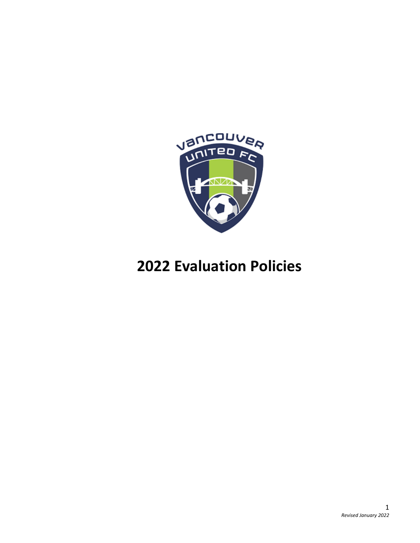

# **Evaluation Policies**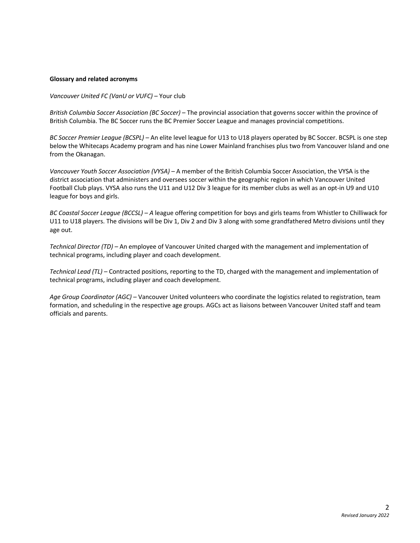#### **Glossary and related acronyms**

*Vancouver United FC (VanU or VUFC)* – Your club

*British Columbia Soccer Association (BC Soccer)* – The provincial association that governs soccer within the province of British Columbia. The BC Soccer runs the BC Premier Soccer League and manages provincial competitions.

*BC Soccer Premier League (BCSPL) –* An elite level league for U13 to U18 players operated by BC Soccer. BCSPL is one step below the Whitecaps Academy program and has nine Lower Mainland franchises plus two from Vancouver Island and one from the Okanagan.

*Vancouver Youth Soccer Association (VYSA)* – A member of the British Columbia Soccer Association, the VYSA is the district association that administers and oversees soccer within the geographic region in which Vancouver United Football Club plays. VYSA also runs the U11 and U12 Div 3 league for its member clubs as well as an opt-in U9 and U10 league for boys and girls.

*BC Coastal Soccer League (BCCSL) – A* league offering competition for boys and girls teams from Whistler to Chilliwack for U11 to U18 players. The divisions will be Div 1, Div 2 and Div 3 along with some grandfathered Metro divisions until they age out.

*Technical Director (TD) –* An employee of Vancouver United charged with the management and implementation of technical programs, including player and coach development.

*Technical Lead (TL)* – Contracted positions, reporting to the TD, charged with the management and implementation of technical programs, including player and coach development.

*Age Group Coordinator (AGC)* – Vancouver United volunteers who coordinate the logistics related to registration, team formation, and scheduling in the respective age groups. AGCs act as liaisons between Vancouver United staff and team officials and parents.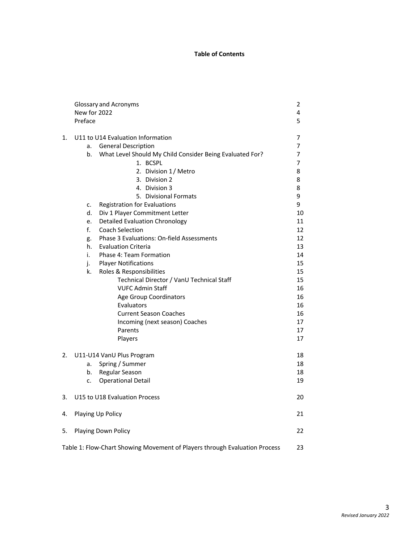#### **Table of Contents**

|    | <b>Glossary and Acronyms</b>                                               |          |  |  |  |  |
|----|----------------------------------------------------------------------------|----------|--|--|--|--|
|    | New for 2022                                                               | 4        |  |  |  |  |
|    | Preface                                                                    | 5        |  |  |  |  |
| 1. | U11 to U14 Evaluation Information<br><b>General Description</b><br>a.      |          |  |  |  |  |
|    | What Level Should My Child Consider Being Evaluated For?<br>b.             |          |  |  |  |  |
|    | 1. BCSPL                                                                   | 7<br>7   |  |  |  |  |
|    | 2. Division 1/ Metro                                                       | 8        |  |  |  |  |
|    | 3. Division 2                                                              | 8        |  |  |  |  |
|    | 4. Division 3                                                              | 8        |  |  |  |  |
|    | 5. Divisional Formats                                                      | 9        |  |  |  |  |
|    | <b>Registration for Evaluations</b><br>c.                                  | 9        |  |  |  |  |
|    | d.<br>Div 1 Player Commitment Letter                                       | 10       |  |  |  |  |
|    | <b>Detailed Evaluation Chronology</b><br>e.                                | 11       |  |  |  |  |
|    | f.<br><b>Coach Selection</b>                                               | 12       |  |  |  |  |
|    | Phase 3 Evaluations: On-field Assessments<br>g.                            | 12       |  |  |  |  |
|    | h.<br><b>Evaluation Criteria</b>                                           | 13       |  |  |  |  |
|    | Phase 4: Team Formation<br>i.                                              | 14       |  |  |  |  |
|    | <b>Player Notifications</b><br>j.                                          | 15       |  |  |  |  |
|    | k.<br>Roles & Responsibilities                                             | 15       |  |  |  |  |
|    | Technical Director / VanU Technical Staff                                  | 15       |  |  |  |  |
|    | <b>VUFC Admin Staff</b>                                                    | 16       |  |  |  |  |
|    | Age Group Coordinators                                                     | 16       |  |  |  |  |
|    | Evaluators<br><b>Current Season Coaches</b>                                | 16<br>16 |  |  |  |  |
|    | Incoming (next season) Coaches                                             | 17       |  |  |  |  |
|    | Parents                                                                    | 17       |  |  |  |  |
|    | Players                                                                    | 17       |  |  |  |  |
| 2. | U11-U14 VanU Plus Program                                                  | 18       |  |  |  |  |
|    | Spring / Summer<br>a.                                                      | 18       |  |  |  |  |
|    | Regular Season<br>b.                                                       | 18       |  |  |  |  |
|    | <b>Operational Detail</b><br>c.                                            | 19       |  |  |  |  |
| 3. | U15 to U18 Evaluation Process                                              | 20       |  |  |  |  |
| 4. | Playing Up Policy                                                          | 21       |  |  |  |  |
| 5. | 22<br>Playing Down Policy                                                  |          |  |  |  |  |
|    | Table 1: Flow-Chart Showing Movement of Players through Evaluation Process | 23       |  |  |  |  |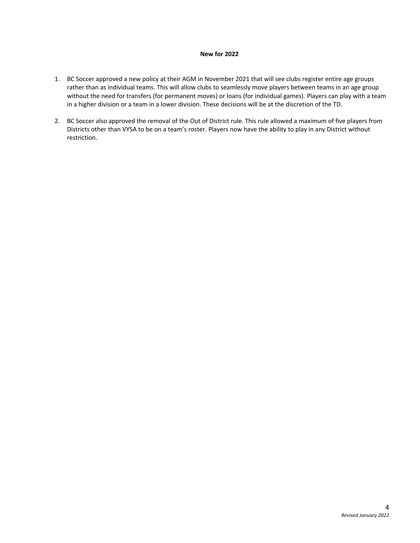#### **New for 2022**

- 1. BC Soccer approved a new policy at their AGM in November 2021 that will see clubs register entire age groups rather than as individual teams. This will allow clubs to seamlessly move players between teams in an age group without the need for transfers (for permanent moves) or loans (for individual games). Players can play with a team in a higher division or a team in a lower division. These decisions will be at the discretion of the TD.
- 2. BC Soccer also approved the removal of the Out of District rule. This rule allowed a maximum of five players from Districts other than VYSA to be on a team's roster. Players now have the ability to play in any District without restriction.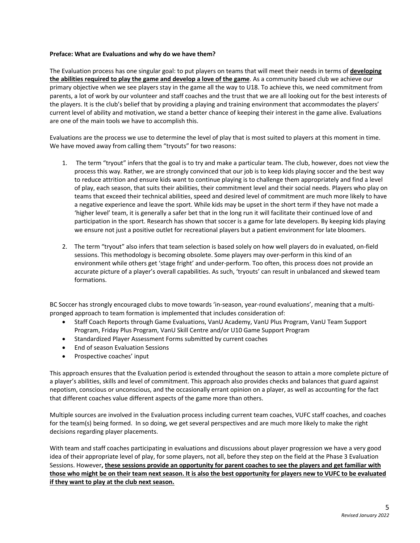#### **Preface: What are Evaluations and why do we have them?**

The Evaluation process has one singular goal: to put players on teams that will meet their needs in terms of **developing the abilities required to play the game and develop a love of the game**. As a community based club we achieve our primary objective when we see players stay in the game all the way to U18. To achieve this, we need commitment from parents, a lot of work by our volunteer and staff coaches and the trust that we are all looking out for the best interests of the players. It is the club's belief that by providing a playing and training environment that accommodates the players' current level of ability and motivation, we stand a better chance of keeping their interest in the game alive. Evaluations are one of the main tools we have to accomplish this.

Evaluations are the process we use to determine the level of play that is most suited to players at this moment in time. We have moved away from calling them "tryouts" for two reasons:

- 1. The term "tryout" infers that the goal is to try and make a particular team. The club, however, does not view the process this way. Rather, we are strongly convinced that our job is to keep kids playing soccer and the best way to reduce attrition and ensure kids want to continue playing is to challenge them appropriately and find a level of play, each season, that suits their abilities, their commitment level and their social needs. Players who play on teams that exceed their technical abilities, speed and desired level of commitment are much more likely to have a negative experience and leave the sport. While kids may be upset in the short term if they have not made a 'higher level' team, it is generally a safer bet that in the long run it will facilitate their continued love of and participation in the sport. Research has shown that soccer is a game for late developers. By keeping kids playing we ensure not just a positive outlet for recreational players but a patient environment for late bloomers.
- 2. The term "tryout" also infers that team selection is based solely on how well players do in evaluated, on-field sessions. This methodology is becoming obsolete. Some players may over-perform in this kind of an environment while others get 'stage fright' and under-perform. Too often, this process does not provide an accurate picture of a player's overall capabilities. As such, 'tryouts' can result in unbalanced and skewed team formations.

BC Soccer has strongly encouraged clubs to move towards 'in-season, year-round evaluations', meaning that a multipronged approach to team formation is implemented that includes consideration of:

- Staff Coach Reports through Game Evaluations, VanU Academy, VanU Plus Program, VanU Team Support Program, Friday Plus Program, VanU Skill Centre and/or U10 Game Support Program
- Standardized Player Assessment Forms submitted by current coaches
- End of season Evaluation Sessions
- Prospective coaches' input

This approach ensures that the Evaluation period is extended throughout the season to attain a more complete picture of a player's abilities, skills and level of commitment. This approach also provides checks and balances that guard against nepotism, conscious or unconscious, and the occasionally errant opinion on a player, as well as accounting for the fact that different coaches value different aspects of the game more than others.

Multiple sources are involved in the Evaluation process including current team coaches, VUFC staff coaches, and coaches for the team(s) being formed. In so doing, we get several perspectives and are much more likely to make the right decisions regarding player placements.

With team and staff coaches participating in evaluations and discussions about player progression we have a very good idea of their appropriate level of play, for some players, not all, before they step on the field at the Phase 3 Evaluation Sessions. However, these sessions provide an opportunity for parent coaches to see the players and get familiar with those who might be on their team next season. It is also the best opportunity for players new to VUFC to be evaluated **if they want to play at the club next season.**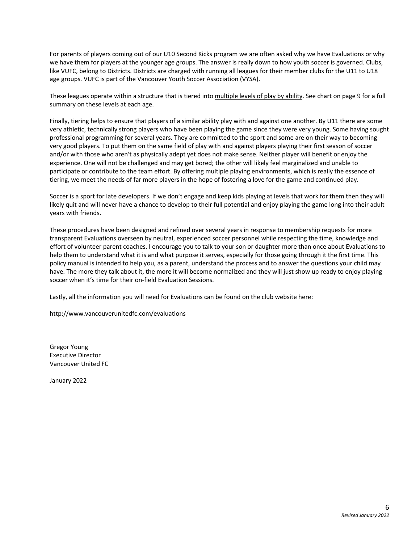For parents of players coming out of our U10 Second Kicks program we are often asked why we have Evaluations or why we have them for players at the younger age groups. The answer is really down to how youth soccer is governed. Clubs, like VUFC, belong to Districts. Districts are charged with running all leagues for their member clubs for the U11 to U18 age groups. VUFC is part of the Vancouver Youth Soccer Association (VYSA).

These leagues operate within a structure that is tiered into multiple levels of play by ability. See chart on page 9 for a full summary on these levels at each age.

Finally, tiering helps to ensure that players of a similar ability play with and against one another. By U11 there are some very athletic, technically strong players who have been playing the game since they were very young. Some having sought professional programming for several years. They are committed to the sport and some are on their way to becoming very good players. To put them on the same field of play with and against players playing their first season of soccer and/or with those who aren't as physically adept yet does not make sense. Neither player will benefit or enjoy the experience. One will not be challenged and may get bored; the other will likely feel marginalized and unable to participate or contribute to the team effort. By offering multiple playing environments, which is really the essence of tiering, we meet the needs of far more players in the hope of fostering a love for the game and continued play.

Soccer is a sport for late developers. If we don't engage and keep kids playing at levels that work for them then they will likely quit and will never have a chance to develop to their full potential and enjoy playing the game long into their adult years with friends.

These procedures have been designed and refined over several years in response to membership requests for more transparent Evaluations overseen by neutral, experienced soccer personnel while respecting the time, knowledge and effort of volunteer parent coaches. I encourage you to talk to your son or daughter more than once about Evaluations to help them to understand what it is and what purpose it serves, especially for those going through it the first time. This policy manual is intended to help you, as a parent, understand the process and to answer the questions your child may have. The more they talk about it, the more it will become normalized and they will just show up ready to enjoy playing soccer when it's time for their on-field Evaluation Sessions.

Lastly, all the information you will need for Evaluations can be found on the club website here:

http://www.vancouverunitedfc.com/evaluations

Gregor Young Executive Director Vancouver United FC

January 2022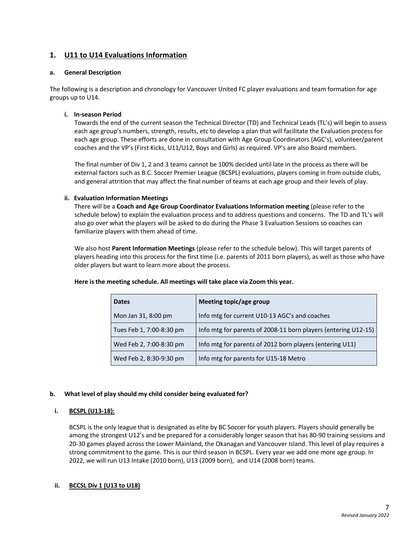# **1. U11 to U14 Evaluations Information**

#### **a. General Description**

The following is a description and chronology for Vancouver United FC player evaluations and team formation for age groups up to U14.

#### **i. In-season Period**

Towards the end of the current season the Technical Director (TD) and Technical Leads (TL's) will begin to assess each age group's numbers, strength, results, etc to develop a plan that will facilitate the Evaluation process for each age group. These efforts are done in consultation with Age Group Coordinators (AGC's), volunteer/parent coaches and the VP's (First Kicks, U11/U12, Boys and Girls) as required. VP's are also Board members.

The final number of Div 1, 2 and 3 teams cannot be 100% decided until late in the process as there will be external factors such as B.C. Soccer Premier League (BCSPL) evaluations, players coming in from outside clubs, and general attrition that may affect the final number of teams at each age group and their levels of play.

## **ii. Evaluation Information Meetings**

There will be a **Coach and Age Group Coordinator Evaluations Information meeting** (please refer to the schedule below) to explain the evaluation process and to address questions and concerns. The TD and TL's will also go over what the players will be asked to do during the Phase 3 Evaluation Sessions so coaches can familiarize players with them ahead of time.

We also host **Parent Information Meetings** (please refer to the schedule below). This will target parents of players heading into this process for the first time (i.e. parents of 2011 born players), as well as those who have older players but want to learn more about the process.

| <b>Dates</b>             | Meeting topic/age group                                        |
|--------------------------|----------------------------------------------------------------|
| Mon Jan 31, 8:00 pm      | Info mtg for current U10-13 AGC's and coaches                  |
| Tues Feb 1, 7:00-8:30 pm | Info mtg for parents of 2008-11 born players (entering U12-15) |
| Wed Feb 2, 7:00-8:30 pm  | Info mtg for parents of 2012 born players (entering U11)       |
| Wed Feb 2, 8:30-9:30 pm  | Info mtg for parents for U15-18 Metro                          |

#### **Here is the meeting schedule. All meetings will take place via Zoom this year.**

#### **b. What level of play should my child consider being evaluated for?**

#### **i. BCSPL (U13-18):**

BCSPL is the only league that is designated as elite by BC Soccer for youth players. Players should generally be among the strongest U12's and be prepared for a considerably longer season that has 80-90 training sessions and 20-30 games played across the Lower Mainland, the Okanagan and Vancouver Island. This level of play requires a strong commitment to the game. This is our third season in BCSPL. Every year we add one more age group. In 2022, we will run U13 Intake (2010 born), U13 (2009 born), and U14 (2008 born) teams.

# **ii. BCCSL Div 1 (U13 to U18)**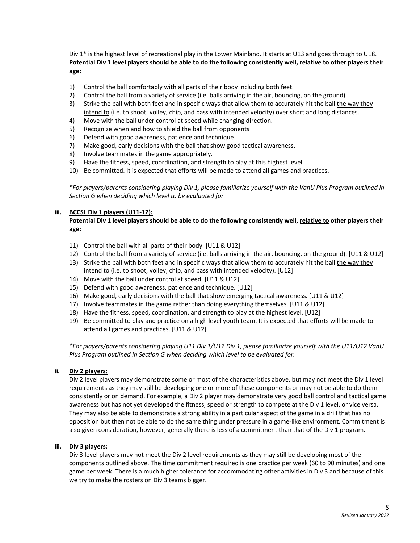Div 1\* is the highest level of recreational play in the Lower Mainland. It starts at U13 and goes through to U18. Potential Div 1 level players should be able to do the following consistently well, relative to other players their **age:**

- 1) Control the ball comfortably with all parts of their body including both feet.
- 2) Control the ball from a variety of service (i.e. balls arriving in the air, bouncing, on the ground).
- 3) Strike the ball with both feet and in specific ways that allow them to accurately hit the ball the way they intend to (i.e. to shoot, volley, chip, and pass with intended velocity) over short and long distances.
- 4) Move with the ball under control at speed while changing direction.
- 5) Recognize when and how to shield the ball from opponents
- 6) Defend with good awareness, patience and technique.
- 7) Make good, early decisions with the ball that show good tactical awareness.
- 8) Involve teammates in the game appropriately.
- 9) Have the fitness, speed, coordination, and strength to play at this highest level.
- 10) Be committed. It is expected that efforts will be made to attend all games and practices.

\*For players/parents considering playing Div 1, please familiarize yourself with the VanU Plus Program outlined in *Section G when deciding which level to be evaluated for.*

## **iii. BCCSL Div 1 players (U11-12):**

Potential Div 1 level players should be able to do the following consistently well, relative to other players their **age:**

- 11) Control the ball with all parts of their body. [U11 & U12]
- 12) Control the ball from a variety of service (i.e. balls arriving in the air, bouncing, on the ground). [U11 & U12]
- 13) Strike the ball with both feet and in specific ways that allow them to accurately hit the ball the way they intend to (i.e. to shoot, volley, chip, and pass with intended velocity). [U12]
- 14) Move with the ball under control at speed. [U11 & U12]
- 15) Defend with good awareness, patience and technique. [U12]
- 16) Make good, early decisions with the ball that show emerging tactical awareness. [U11 & U12]
- 17) Involve teammates in the game rather than doing everything themselves. [U11 & U12]
- 18) Have the fitness, speed, coordination, and strength to play at the highest level. [U12]
- 19) Be committed to play and practice on a high level youth team. It is expected that efforts will be made to attend all games and practices. [U11 & U12]

*\*For players/parents considering playing U11 Div 1/U12 Div 1, please familiarize yourself with the U11/U12 VanU Plus Program outlined in Section G when deciding which level to be evaluated for.*

#### **ii. Div 2 players:**

Div 2 level players may demonstrate some or most of the characteristics above, but may not meet the Div 1 level requirements as they may still be developing one or more of these components or may not be able to do them consistently or on demand. For example, a Div 2 player may demonstrate very good ball control and tactical game awareness but has not yet developed the fitness, speed or strength to compete at the Div 1 level, or vice versa. They may also be able to demonstrate a strong ability in a particular aspect of the game in a drill that has no opposition but then not be able to do the same thing under pressure in a game-like environment. Commitment is also given consideration, however, generally there is less of a commitment than that of the Div 1 program.

#### **iii. Div 3 players:**

Div 3 level players may not meet the Div 2 level requirements as they may still be developing most of the components outlined above. The time commitment required is one practice per week (60 to 90 minutes) and one game per week. There is a much higher tolerance for accommodating other activities in Div 3 and because of this we try to make the rosters on Div 3 teams bigger.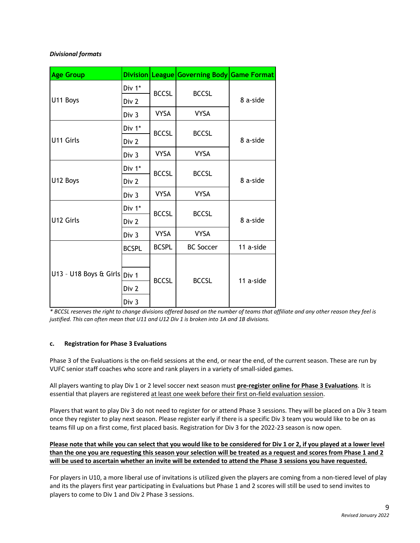# *Divisional formats*

| <b>Age Group</b>             | <b>Division</b> |              | League Governing Body Game Format |           |  |
|------------------------------|-----------------|--------------|-----------------------------------|-----------|--|
|                              | Div 1*          | <b>BCCSL</b> | <b>BCCSL</b>                      |           |  |
| U11 Boys                     | Div 2           |              |                                   | 8 a-side  |  |
|                              | Div 3           | <b>VYSA</b>  | <b>VYSA</b>                       |           |  |
|                              | Div 1*          | <b>BCCSL</b> | <b>BCCSL</b>                      | 8 a-side  |  |
| U11 Girls                    | Div 2           |              |                                   |           |  |
|                              | Div 3           | <b>VYSA</b>  | <b>VYSA</b>                       |           |  |
|                              | Div 1*          | <b>BCCSL</b> | <b>BCCSL</b>                      | 8 a-side  |  |
| U12 Boys                     | Div 2           |              |                                   |           |  |
|                              | Div 3           | <b>VYSA</b>  | <b>VYSA</b>                       |           |  |
|                              | Div 1*          | <b>BCCSL</b> | <b>BCCSL</b>                      | 8 a-side  |  |
| U12 Girls                    | Div 2           |              |                                   |           |  |
|                              | Div 3           | <b>VYSA</b>  | <b>VYSA</b>                       |           |  |
|                              | <b>BCSPL</b>    | <b>BCSPL</b> | <b>BC Soccer</b>                  | 11 a-side |  |
|                              |                 | <b>BCCSL</b> | <b>BCCSL</b>                      | 11 a-side |  |
| U13 - U18 Boys & Girls Div 1 |                 |              |                                   |           |  |
|                              | Div 2           |              |                                   |           |  |
|                              | Div 3           |              |                                   |           |  |

\* BCCSL reserves the right to change divisions offered based on the number of teams that affiliate and any other reason they feel is *justified. This can often mean that U11 and U12 Div 1 is broken into 1A and 1B divisions.*

#### **c. Registration for Phase 3 Evaluations**

Phase 3 of the Evaluations is the on-field sessions at the end, or near the end, of the current season. These are run by VUFC senior staff coaches who score and rank players in a variety of small-sided games.

All players wanting to play Div 1 or 2 level soccer next season must **pre-register online for Phase 3 Evaluations**. It is essential that players are registered at least one week before their first on-field evaluation session.

Players that want to play Div 3 do not need to register for or attend Phase 3 sessions. They will be placed on a Div 3 team once they register to play next season. Please register early if there is a specific Div 3 team you would like to be on as teams fill up on a first come, first placed basis. Registration for Div 3 for the 2022-23 season is now open.

Please note that while you can select that you would like to be considered for Div 1 or 2, if you played at a lower level than the one you are requesting this season your selection will be treated as a request and scores from Phase 1 and 2 will be used to ascertain whether an invite will be extended to attend the Phase 3 sessions you have requested.

For players in U10, a more liberal use of invitations is utilized given the players are coming from a non-tiered level of play and its the players first year participating in Evaluations but Phase 1 and 2 scores will still be used to send invites to players to come to Div 1 and Div 2 Phase 3 sessions.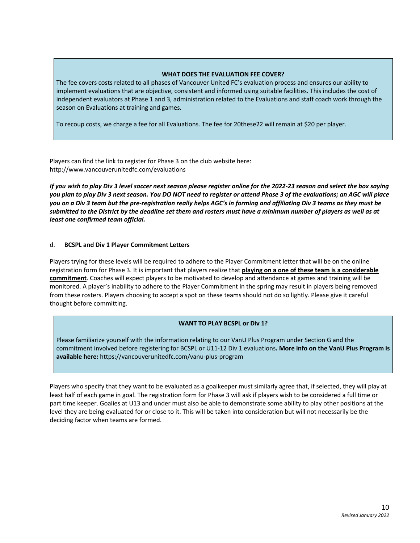#### **WHAT DOES THE EVALUATION FEE COVER?**

The fee covers costs related to all phases of Vancouver United FC's evaluation process and ensures our ability to implement evaluations that are objective, consistent and informed using suitable facilities. This includes the cost of independent evaluators at Phase 1 and 3, administration related to the Evaluations and staff coach work through the season on Evaluations at training and games.

To recoup costs, we charge a fee for all Evaluations. The fee for 20these22 will remain at \$20 per player.

Players can find the link to register for Phase 3 on the club website here: http://www.vancouverunitedfc.com/evaluations

If you wish to play Div 3 level soccer next season please register online for the 2022-23 season and select the box saying you plan to play Div 3 next season. You DO NOT need to register or attend Phase 3 of the evaluations; an AGC will place you on a Div 3 team but the pre-registration really helps AGC's in forming and affiliating Div 3 teams as they must be submitted to the District by the deadline set them and rosters must have a minimum number of players as well as at *least one confirmed team official.*

#### d. **BCSPL and Div 1 Player Commitment Letters**

Players trying for these levels will be required to adhere to the Player Commitment letter that will be on the online registration form for Phase 3. It is important that players realize that **playing on a one of these team is a considerable commitment**. Coaches will expect players to be motivated to develop and attendance at games and training will be monitored. A player's inability to adhere to the Player Commitment in the spring may result in players being removed from these rosters. Players choosing to accept a spot on these teams should not do so lightly. Please give it careful thought before committing.

#### **WANT TO PLAY BCSPL or Div 1?**

Please familiarize yourself with the information relating to our VanU Plus Program under Section G and the commitment involved before registering for BCSPL or U11-12 Div 1 evaluations**. More info on the VanU Plus Program is available here:** https://vancouverunitedfc.com/vanu-plus-program

Players who specify that they want to be evaluated as a goalkeeper must similarly agree that, if selected, they will play at least half of each game in goal. The registration form for Phase 3 will ask if players wish to be considered a full time or part time keeper. Goalies at U13 and under must also be able to demonstrate some ability to play other positions at the level they are being evaluated for or close to it. This will be taken into consideration but will not necessarily be the deciding factor when teams are formed.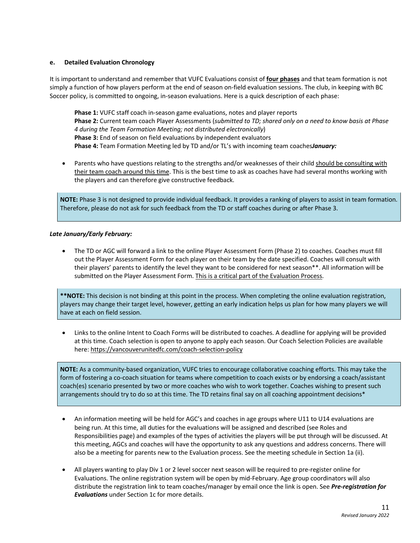#### **e. Detailed Evaluation Chronology**

It is important to understand and remember that VUFC Evaluations consist of **four phases** and that team formation is not simply a function of how players perform at the end of season on-field evaluation sessions. The club, in keeping with BC Soccer policy, is committed to ongoing, in-season evaluations. Here is a quick description of each phase:

**Phase 1:** VUFC staff coach in-season game evaluations, notes and player reports **Phase 2:** Current team coach Player Assessments (*submitted to TD; shared only on a need to know basis at Phase 4 during the Team Formation Meeting; not distributed electronically*) **Phase 3:** End of season on field evaluations by independent evaluators **Phase 4:** Team Formation Meeting led by TD and/or TL's with incoming team coaches*January:*

• Parents who have questions relating to the strengths and/or weaknesses of their child should be consulting with their team coach around this time. This is the best time to ask as coaches have had several months working with the players and can therefore give constructive feedback.

**NOTE:** Phase 3 is not designed to provide individual feedback. It provides a ranking of players to assist in team formation. Therefore, please do not ask for such feedback from the TD or staff coaches during or after Phase 3.

## *Late January/Early February:*

• The TD or AGC will forward a link to the online Player Assessment Form (Phase 2) to coaches. Coaches must fill out the Player Assessment Form for each player on their team by the date specified. Coaches will consult with their players' parents to identify the level they want to be considered for next season\*\*. All information will be submitted on the Player Assessment Form. This is a critical part of the Evaluation Process.

**\*\*NOTE:** This decision is not binding at this point in the process. When completing the online evaluation registration, players may change their target level, however, getting an early indication helps us plan for how many players we will have at each on field session.

• Links to the online Intent to Coach Forms will be distributed to coaches. A deadline for applying will be provided at this time. Coach selection is open to anyone to apply each season. Our Coach Selection Policies are available here: https://vancouverunitedfc.com/coach-selection-policy

**NOTE:** As a community-based organization, VUFC tries to encourage collaborative coaching efforts. This may take the form of fostering a co-coach situation for teams where competition to coach exists or by endorsing a coach/assistant coach(es) scenario presented by two or more coaches who wish to work together. Coaches wishing to present such arrangements should try to do so at this time. The TD retains final say on all coaching appointment decisions\*

- An information meeting will be held for AGC's and coaches in age groups where U11 to U14 evaluations are being run. At this time, all duties for the evaluations will be assigned and described (see Roles and Responsibilities page) and examples of the types of activities the players will be put through will be discussed. At this meeting, AGCs and coaches will have the opportunity to ask any questions and address concerns. There will also be a meeting for parents new to the Evaluation process. See the meeting schedule in Section 1a (ii).
- All players wanting to play Div 1 or 2 level soccer next season will be required to pre-register online for Evaluations. The online registration system will be open by mid-February. Age group coordinators will also distribute the registration link to team coaches/manager by email once the link is open. See *Pre-registration for Evaluations* under Section 1c for more details.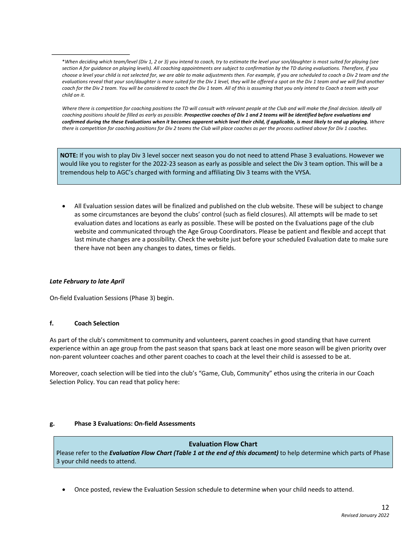Where there is competition for coaching positions the TD will consult with relevant people at the Club and will make the final decision. Ideally all coaching positions should be filled as early as possible. Prospective coaches of Div 1 and 2 teams will be identified before evaluations and confirmed during the these Evaluations when it becomes apparent which level their child, if applicable, is most likely to end up playing. Where there is competition for coaching positions for Div 2 teams the Club will place coaches as per the process outlined above for Div 1 coaches.

**NOTE:** If you wish to play Div 3 level soccer next season you do not need to attend Phase 3 evaluations. However we would like you to register for the 2022-23 season as early as possible and select the Div 3 team option. This will be a tremendous help to AGC's charged with forming and affiliating Div 3 teams with the VYSA.

• All Evaluation session dates will be finalized and published on the club website. These will be subject to change as some circumstances are beyond the clubs' control (such as field closures). All attempts will be made to set evaluation dates and locations as early as possible. These will be posted on the Evaluations page of the club website and communicated through the Age Group Coordinators. Please be patient and flexible and accept that last minute changes are a possibility. Check the website just before your scheduled Evaluation date to make sure there have not been any changes to dates, times or fields.

#### *Late February to late April*

On-field Evaluation Sessions (Phase 3) begin.

#### **f. Coach Selection**

As part of the club's commitment to community and volunteers, parent coaches in good standing that have current experience within an age group from the past season that spans back at least one more season will be given priority over non-parent volunteer coaches and other parent coaches to coach at the level their child is assessed to be at.

Moreover, coach selection will be tied into the club's "Game, Club, Community" ethos using the criteria in our Coach Selection Policy. You can read that policy here:

#### **g. Phase 3 Evaluations: On-field Assessments**

# **Evaluation Flow Chart**

Please refer to the *Evaluation Flow Chart (Table 1 at the end of this document)* to help determine which parts of Phase 3 your child needs to attend.

• Once posted, review the Evaluation Session schedule to determine when your child needs to attend.

<sup>\*</sup>When deciding which team/level (Div 1, 2 or 3) you intend to coach, try to estimate the level your son/daughter is most suited for playing (see section A for guidance on playing levels). All coaching appointments are subject to confirmation by the TD during evaluations. Therefore, if you choose a level your child is not selected for, we are able to make adjustments then. For example, if you are scheduled to coach a Div 2 team and the evaluations reveal that your son/dauahter is more suited for the Div 1 level, they will be offered a spot on the Div 1 team and we will find another coach for the Div 2 team. You will be considered to coach the Div 1 team. All of this is assuming that you only intend to Coach a team with your *child on it.*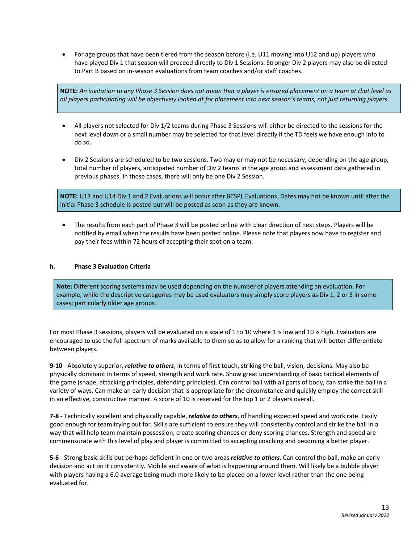• For age groups that have been tiered from the season before (i.e. U11 moving into U12 and up) players who have played Div 1 that season will proceed directly to Div 1 Sessions. Stronger Div 2 players may also be directed to Part B based on in-season evaluations from team coaches and/or staff coaches.

NOTE: An invitation to any Phase 3 Session does not mean that a player is ensured placement on a team at that level as all players participating will be objectively looked at for placement into next season's teams, not just returning players.

- All players not selected for Div 1/2 teams during Phase 3 Sessions will either be directed to the sessions for the next level down or a small number may be selected for that level directly if the TD feels we have enough info to do so.
- Div 2 Sessions are scheduled to be two sessions. Two may or may not be necessary, depending on the age group, total number of players, anticipated number of Div 2 teams in the age group and assessment data gathered in previous phases. In these cases, there will only be one Div 2 Session.

**NOTE:** U13 and U14 Div 1 and 2 Evaluations will occur after BCSPL Evaluations. Dates may not be known until after the initial Phase 3 schedule is posted but will be posted as soon as they are known.

• The results from each part of Phase 3 will be posted online with clear direction of next steps. Players will be notified by email when the results have been posted online. Please note that players now have to register and pay their fees within 72 hours of accepting their spot on a team.

#### **h. Phase 3 Evaluation Criteria**

**Note:** Different scoring systems may be used depending on the number of players attending an evaluation. For example, while the descriptive categories may be used evaluators may simply score players as Div 1, 2 or 3 in some cases; particularly older age groups.

For most Phase 3 sessions, players will be evaluated on a scale of 1 to 10 where 1 is low and 10 is high. Evaluators are encouraged to use the full spectrum of marks available to them so as to allow for a ranking that will better differentiate between players.

**9-10** - Absolutely superior, *relative to others*, in terms of first touch, striking the ball, vision, decisions. May also be physically dominant in terms of speed, strength and work rate. Show great understanding of basic tactical elements of the game (shape, attacking principles, defending principles). Can control ball with all parts of body, can strike the ball in a variety of ways. Can make an early decision that is appropriate for the circumstance and quickly employ the correct skill in an effective, constructive manner. A score of 10 is reserved for the top 1 or 2 players overall.

**7-8** - Technically excellent and physically capable, *relative to others*, of handling expected speed and work rate. Easily good enough for team trying out for. Skills are sufficient to ensure they will consistently control and strike the ball in a way that will help team maintain possession, create scoring chances or deny scoring chances. Strength and speed are commensurate with this level of play and player is committed to accepting coaching and becoming a better player.

**5-6** - Strong basic skills but perhaps deficient in one or two areas *relative to others*. Can control the ball, make an early decision and act on it consistently. Mobile and aware of what is happening around them. Will likely be a bubble player with players having a 6.0 average being much more likely to be placed on a lower level rather than the one being evaluated for.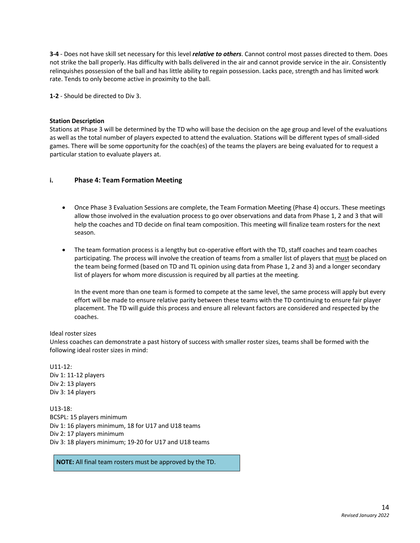**3-4** - Does not have skill set necessary for this level *relative to others*. Cannot control most passes directed to them. Does not strike the ball properly. Has difficulty with balls delivered in the air and cannot provide service in the air. Consistently relinquishes possession of the ball and has little ability to regain possession. Lacks pace, strength and has limited work rate. Tends to only become active in proximity to the ball.

**1-2** - Should be directed to Div 3.

#### **Station Description**

Stations at Phase 3 will be determined by the TD who will base the decision on the age group and level of the evaluations as well as the total number of players expected to attend the evaluation. Stations will be different types of small-sided games. There will be some opportunity for the coach(es) of the teams the players are being evaluated for to request a particular station to evaluate players at.

#### **i. Phase 4: Team Formation Meeting**

- Once Phase 3 Evaluation Sessions are complete, the Team Formation Meeting (Phase 4) occurs. These meetings allow those involved in the evaluation process to go over observations and data from Phase 1, 2 and 3 that will help the coaches and TD decide on final team composition. This meeting will finalize team rosters for the next season.
- The team formation process is a lengthy but co-operative effort with the TD, staff coaches and team coaches participating. The process will involve the creation of teams from a smaller list of players that must be placed on the team being formed (based on TD and TL opinion using data from Phase 1, 2 and 3) and a longer secondary list of players for whom more discussion is required by all parties at the meeting.

In the event more than one team is formed to compete at the same level, the same process will apply but every effort will be made to ensure relative parity between these teams with the TD continuing to ensure fair player placement. The TD will guide this process and ensure all relevant factors are considered and respected by the coaches.

#### Ideal roster sizes

Unless coaches can demonstrate a past history of success with smaller roster sizes, teams shall be formed with the following ideal roster sizes in mind:

 $U11-12:$ Div 1: 11-12 players Div 2: 13 players Div 3: 14 players

U13-18: BCSPL: 15 players minimum Div 1: 16 players minimum, 18 for U17 and U18 teams Div 2: 17 players minimum Div 3: 18 players minimum; 19-20 for U17 and U18 teams

**NOTE:** All final team rosters must be approved by the TD.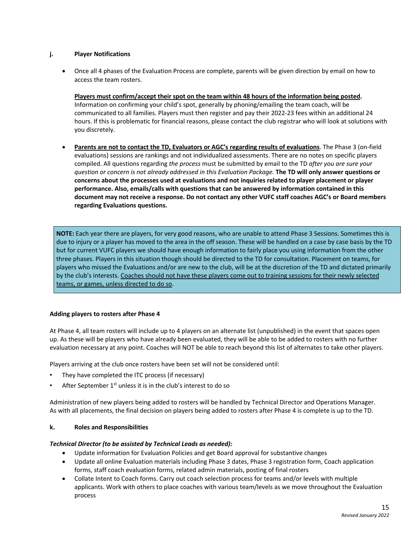# **j. Player Notifications**

• Once all 4 phases of the Evaluation Process are complete, parents will be given direction by email on how to access the team rosters.

**Players must confirm/accept their spot on the team within 48 hours of the information being posted.** Information on confirming your child's spot, generally by phoning/emailing the team coach, will be communicated to all families. Players must then register and pay their 2022-23 fees within an additional 24 hours. If this is problematic for financial reasons, please contact the club registrar who will look at solutions with you discretely.

• **Parents are not to contact the TD, Evaluators or AGC's regarding results of evaluations**. The Phase 3 (on-field evaluations) sessions are rankings and not individualized assessments. There are no notes on specific players compiled. All questions regarding *the process* must be submitted by email to the TD *after you are sure your* question or concern is not already addressed in this Evaluation Package. The TD will only answer questions or **concerns about the processes used at evaluations and not inquiries related to player placement or player performance. Also, emails/calls with questions that can be answered by information contained in this** document may not receive a response. Do not contact any other VUFC staff coaches AGC's or Board members **regarding Evaluations questions.**

**NOTE:** Each year there are players, for very good reasons, who are unable to attend Phase 3 Sessions. Sometimes this is due to injury or a player has moved to the area in the off season. These will be handled on a case by case basis by the TD but for current VUFC players we should have enough information to fairly place you using information from the other three phases. Players in this situation though should be directed to the TD for consultation. Placement on teams, for players who missed the Evaluations and/or are new to the club, will be at the discretion of the TD and dictated primarily by the club's interests. Coaches should not have these players come out to training sessions for their newly selected teams, or games, unless directed to do so.

#### **Adding players to rosters after Phase 4**

At Phase 4, all team rosters will include up to 4 players on an alternate list (unpublished) in the event that spaces open up. As these will be players who have already been evaluated, they will be able to be added to rosters with no further evaluation necessary at any point. Coaches will NOT be able to reach beyond this list of alternates to take other players.

Players arriving at the club once rosters have been set will not be considered until:

- They have completed the ITC process (if necessary)
- After September 1<sup>st</sup> unless it is in the club's interest to do so

Administration of new players being added to rosters will be handled by Technical Director and Operations Manager. As with all placements, the final decision on players being added to rosters after Phase 4 is complete is up to the TD.

#### **k. Roles and Responsibilities**

#### *Technical Director (to be assisted by Technical Leads as needed):*

- Update information for Evaluation Policies and get Board approval for substantive changes
- Update all online Evaluation materials including Phase 3 dates, Phase 3 registration form, Coach application forms, staff coach evaluation forms, related admin materials, posting of final rosters
- Collate Intent to Coach forms. Carry out coach selection process for teams and/or levels with multiple applicants. Work with others to place coaches with various team/levels as we move throughout the Evaluation process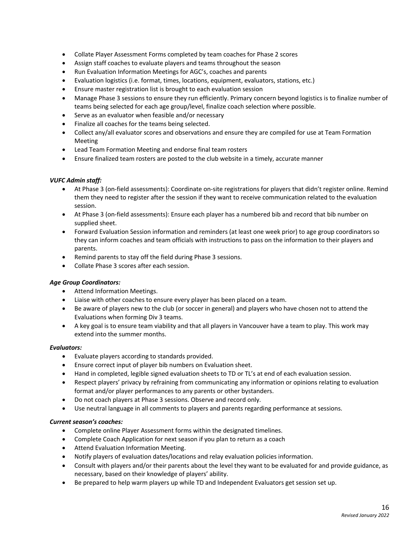- Collate Player Assessment Forms completed by team coaches for Phase 2 scores
- Assign staff coaches to evaluate players and teams throughout the season
- Run Evaluation Information Meetings for AGC's, coaches and parents
- Evaluation logistics (i.e. format, times, locations, equipment, evaluators, stations, etc.)
- Ensure master registration list is brought to each evaluation session
- Manage Phase 3 sessions to ensure they run efficiently. Primary concern beyond logistics is to finalize number of teams being selected for each age group/level, finalize coach selection where possible.
- Serve as an evaluator when feasible and/or necessary
- Finalize all coaches for the teams being selected.
- Collect any/all evaluator scores and observations and ensure they are compiled for use at Team Formation Meeting
- Lead Team Formation Meeting and endorse final team rosters
- Ensure finalized team rosters are posted to the club website in a timely, accurate manner

#### *VUFC Admin staff:*

- At Phase 3 (on-field assessments): Coordinate on-site registrations for players that didn't register online. Remind them they need to register after the session if they want to receive communication related to the evaluation session.
- At Phase 3 (on-field assessments): Ensure each player has a numbered bib and record that bib number on supplied sheet.
- Forward Evaluation Session information and reminders (at least one week prior) to age group coordinators so they can inform coaches and team officials with instructions to pass on the information to their players and parents.
- Remind parents to stay off the field during Phase 3 sessions.
- Collate Phase 3 scores after each session.

#### *Age Group Coordinators:*

- Attend Information Meetings.
- Liaise with other coaches to ensure every player has been placed on a team.
- Be aware of players new to the club (or soccer in general) and players who have chosen not to attend the Evaluations when forming Div 3 teams.
- A key goal is to ensure team viability and that all players in Vancouver have a team to play. This work may extend into the summer months.

#### *Evaluators:*

- Evaluate players according to standards provided.
- Ensure correct input of player bib numbers on Evaluation sheet.
- Hand in completed, legible signed evaluation sheets to TD or TL's at end of each evaluation session.
- Respect players' privacy by refraining from communicating any information or opinions relating to evaluation format and/or player performances to any parents or other bystanders.
- Do not coach players at Phase 3 sessions. Observe and record only.
- Use neutral language in all comments to players and parents regarding performance at sessions.

#### *Current season's coaches:*

- Complete online Player Assessment forms within the designated timelines.
- Complete Coach Application for next season if you plan to return as a coach
- Attend Evaluation Information Meeting.
- Notify players of evaluation dates/locations and relay evaluation policies information.
- Consult with players and/or their parents about the level they want to be evaluated for and provide guidance, as necessary, based on their knowledge of players' ability.
- Be prepared to help warm players up while TD and Independent Evaluators get session set up.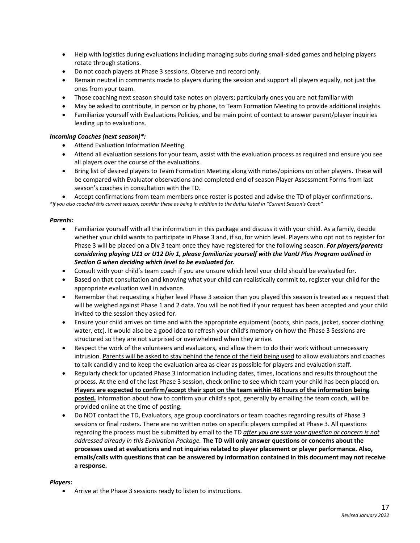- Help with logistics during evaluations including managing subs during small-sided games and helping players rotate through stations.
- Do not coach players at Phase 3 sessions. Observe and record only.
- Remain neutral in comments made to players during the session and support all players equally, not just the ones from your team.
- Those coaching next season should take notes on players; particularly ones you are not familiar with
- May be asked to contribute, in person or by phone, to Team Formation Meeting to provide additional insights.
- Familiarize yourself with Evaluations Policies, and be main point of contact to answer parent/player inquiries leading up to evaluations.

#### *Incoming Coaches (next season)\*:*

- Attend Evaluation Information Meeting.
- Attend all evaluation sessions for your team, assist with the evaluation process as required and ensure you see all players over the course of the evaluations.
- Bring list of desired players to Team Formation Meeting along with notes/opinions on other players. These will be compared with Evaluator observations and completed end of season Player Assessment Forms from last season's coaches in consultation with the TD.

• Accept confirmations from team members once roster is posted and advise the TD of player confirmations. \*If you also coached this current season, consider these as being in addition to the duties listed in "Current Season's Coach"

#### *Parents:*

- Familiarize yourself with all the information in this package and discuss it with your child. As a family, decide whether your child wants to participate in Phase 3 and, if so, for which level. Players who opt not to register for Phase 3 will be placed on a Div 3 team once they have registered for the following season. *For players/parents considering playing U11 or U12 Div 1, please familiarize yourself with the VanU Plus Program outlined in Section G when deciding which level to be evaluated for.*
- Consult with your child's team coach if you are unsure which level your child should be evaluated for.
- Based on that consultation and knowing what your child can realistically commit to, register your child for the appropriate evaluation well in advance.
- Remember that requesting a higher level Phase 3 session than you played this season is treated as a request that will be weighed against Phase 1 and 2 data. You will be notified if your request has been accepted and your child invited to the session they asked for.
- Ensure your child arrives on time and with the appropriate equipment (boots, shin pads, jacket, soccer clothing water, etc). It would also be a good idea to refresh your child's memory on how the Phase 3 Sessions are structured so they are not surprised or overwhelmed when they arrive.
- Respect the work of the volunteers and evaluators, and allow them to do their work without unnecessary intrusion. Parents will be asked to stay behind the fence of the field being used to allow evaluators and coaches to talk candidly and to keep the evaluation area as clear as possible for players and evaluation staff.
- Regularly check for updated Phase 3 information including dates, times, locations and results throughout the process. At the end of the last Phase 3 session, check online to see which team your child has been placed on. **Players are expected to confirm/accept their spot on the team within 48 hours of the information being posted.** Information about how to confirm your child's spot, generally by emailing the team coach, will be provided online at the time of posting.
- Do NOT contact the TD, Evaluators, age group coordinators or team coaches regarding results of Phase 3 sessions or final rosters. There are no written notes on specific players compiled at Phase 3. All questions regarding the process must be submitted by email to the TD *after you are sure your question or concern is not addressed already in this Evaluation Package.* **The TD will only answer questions or concerns about the processes used at evaluations and not inquiries related to player placement or player performance. Also, emails/calls with questions that can be answered by information contained in this document may not receive a response.**

#### *Players:*

• Arrive at the Phase 3 sessions ready to listen to instructions.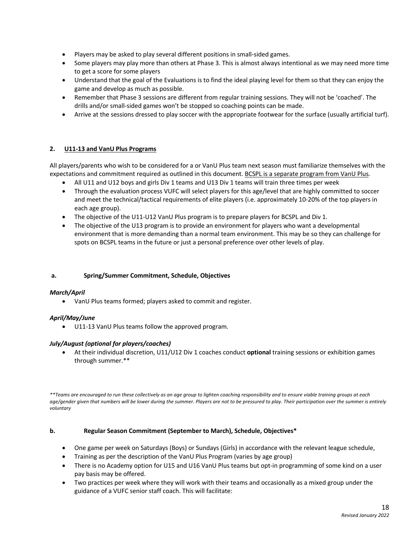- Players may be asked to play several different positions in small-sided games.
- Some players may play more than others at Phase 3. This is almost always intentional as we may need more time to get a score for some players
- Understand that the goal of the Evaluations is to find the ideal playing level for them so that they can enjoy the game and develop as much as possible.
- Remember that Phase 3 sessions are different from regular training sessions. They will not be 'coached'. The drills and/or small-sided games won't be stopped so coaching points can be made.
- Arrive at the sessions dressed to play soccer with the appropriate footwear for the surface (usually artificial turf).

# **2. U11-13 and VanU Plus Programs**

All players/parents who wish to be considered for a or VanU Plus team next season must familiarize themselves with the expectations and commitment required as outlined in this document. BCSPL is a separate program from VanU Plus.

- All U11 and U12 boys and girls Div 1 teams and U13 Div 1 teams will train three times per week
- Through the evaluation process VUFC will select players for this age/level that are highly committed to soccer and meet the technical/tactical requirements of elite players (i.e. approximately 10-20% of the top players in each age group).
- The objective of the U11-U12 VanU Plus program is to prepare players for BCSPL and Div 1.
- The objective of the U13 program is to provide an environment for players who want a developmental environment that is more demanding than a normal team environment. This may be so they can challenge for spots on BCSPL teams in the future or just a personal preference over other levels of play.

# **a. Spring/Summer Commitment, Schedule, Objectives**

# *March/April*

• VanU Plus teams formed; players asked to commit and register.

#### *April/May/June*

• U11-13 VanU Plus teams follow the approved program.

#### *July/August (optional for players/coaches)*

• At their individual discretion, U11/U12 Div 1 coaches conduct **optional** training sessions or exhibition games through summer.\*\*

\*\*Teams are encouraged to run these collectively as an age group to lighten coaching responsibility and to ensure viable training groups at each age/gender given that numbers will be lower during the summer. Players are not to be pressured to play. Their participation over the summer is entirely *voluntary*

#### **b. Regular Season Commitment (September to March), Schedule, Objectives\***

- One game per week on Saturdays (Boys) or Sundays (Girls) in accordance with the relevant league schedule,
- Training as per the description of the VanU Plus Program (varies by age group)
- There is no Academy option for U15 and U16 VanU Plus teams but opt-in programming of some kind on a user pay basis may be offered.
- Two practices per week where they will work with their teams and occasionally as a mixed group under the guidance of a VUFC senior staff coach. This will facilitate: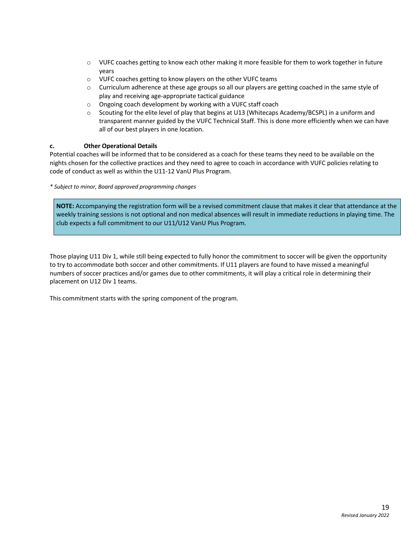- o VUFC coaches getting to know each other making it more feasible for them to work together in future years
- o VUFC coaches getting to know players on the other VUFC teams
- o Curriculum adherence at these age groups so all our players are getting coached in the same style of play and receiving age-appropriate tactical guidance
- o Ongoing coach development by working with a VUFC staff coach
- o Scouting for the elite level of play that begins at U13 (Whitecaps Academy/BCSPL) in a uniform and transparent manner guided by the VUFC Technical Staff. This is done more efficiently when we can have all of our best players in one location.

#### **c. Other Operational Details**

Potential coaches will be informed that to be considered as a coach for these teams they need to be available on the nights chosen for the collective practices and they need to agree to coach in accordance with VUFC policies relating to code of conduct as well as within the U11-12 VanU Plus Program.

*\* Subject to minor, Board approved programming changes*

**NOTE:** Accompanying the registration form will be a revised commitment clause that makes it clear that attendance at the weekly training sessions is not optional and non medical absences will result in immediate reductions in playing time. The club expects a full commitment to our U11/U12 VanU Plus Program.

Those playing U11 Div 1, while still being expected to fully honor the commitment to soccer will be given the opportunity to try to accommodate both soccer and other commitments. If U11 players are found to have missed a meaningful numbers of soccer practices and/or games due to other commitments, it will play a critical role in determining their placement on U12 Div 1 teams.

This commitment starts with the spring component of the program.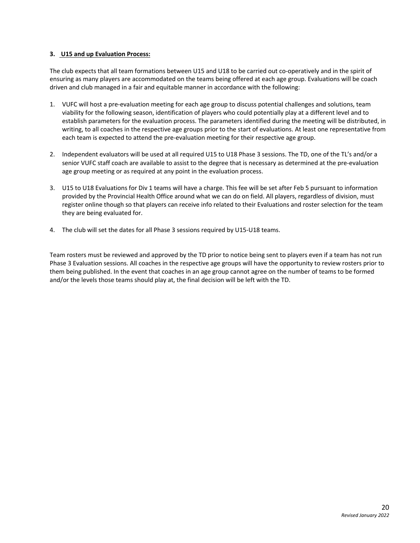#### **3. U15 and up Evaluation Process:**

The club expects that all team formations between U15 and U18 to be carried out co-operatively and in the spirit of ensuring as many players are accommodated on the teams being offered at each age group. Evaluations will be coach driven and club managed in a fair and equitable manner in accordance with the following:

- 1. VUFC will host a pre-evaluation meeting for each age group to discuss potential challenges and solutions, team viability for the following season, identification of players who could potentially play at a different level and to establish parameters for the evaluation process. The parameters identified during the meeting will be distributed, in writing, to all coaches in the respective age groups prior to the start of evaluations. At least one representative from each team is expected to attend the pre-evaluation meeting for their respective age group.
- 2. Independent evaluators will be used at all required U15 to U18 Phase 3 sessions. The TD, one of the TL's and/or a senior VUFC staff coach are available to assist to the degree that is necessary as determined at the pre-evaluation age group meeting or as required at any point in the evaluation process.
- 3. U15 to U18 Evaluations for Div 1 teams will have a charge. This fee will be set after Feb 5 pursuant to information provided by the Provincial Health Office around what we can do on field. All players, regardless of division, must register online though so that players can receive info related to their Evaluations and roster selection for the team they are being evaluated for.
- 4. The club will set the dates for all Phase 3 sessions required by U15-U18 teams.

Team rosters must be reviewed and approved by the TD prior to notice being sent to players even if a team has not run Phase 3 Evaluation sessions. All coaches in the respective age groups will have the opportunity to review rosters prior to them being published. In the event that coaches in an age group cannot agree on the number of teams to be formed and/or the levels those teams should play at, the final decision will be left with the TD.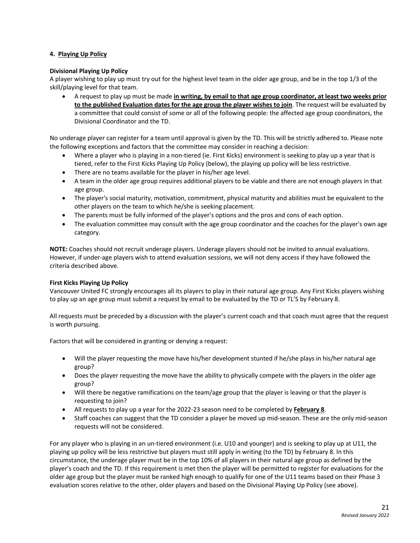# **4. Playing Up Policy**

#### **Divisional Playing Up Policy**

A player wishing to play up must try out for the highest level team in the older age group, and be in the top 1/3 of the skill/playing level for that team.

• A request to play up must be made **in writing, by email to that age group coordinator, at least two weeks prior to the published Evaluation dates for the age group the player wishes to join**. The request will be evaluated by a committee that could consist of some or all of the following people: the affected age group coordinators, the Divisional Coordinator and the TD.

No underage player can register for a team until approval is given by the TD. This will be strictly adhered to. Please note the following exceptions and factors that the committee may consider in reaching a decision:

- Where a player who is playing in a non-tiered (ie. First Kicks) environment is seeking to play up a year that is tiered, refer to the First Kicks Playing Up Policy (below), the playing up policy will be less restrictive.
- There are no teams available for the player in his/her age level.
- A team in the older age group requires additional players to be viable and there are not enough players in that age group.
- The player's social maturity, motivation, commitment, physical maturity and abilities must be equivalent to the other players on the team to which he/she is seeking placement.
- The parents must be fully informed of the player's options and the pros and cons of each option.
- The evaluation committee may consult with the age group coordinator and the coaches for the player's own age category.

**NOTE:** Coaches should not recruit underage players. Underage players should not be invited to annual evaluations. However, if under-age players wish to attend evaluation sessions, we will not deny access if they have followed the criteria described above.

#### **First Kicks Playing Up Policy**

Vancouver United FC strongly encourages all its players to play in their natural age group. Any First Kicks players wishing to play up an age group must submit a request by email to be evaluated by the TD or TL'S by February 8.

All requests must be preceded by a discussion with the player's current coach and that coach must agree that the request is worth pursuing.

Factors that will be considered in granting or denying a request:

- Will the player requesting the move have his/her development stunted if he/she plays in his/her natural age group?
- Does the player requesting the move have the ability to physically compete with the players in the older age group?
- Will there be negative ramifications on the team/age group that the player is leaving or that the player is requesting to join?
- All requests to play up a year for the 2022-23 season need to be completed by **February 8**.
- Staff coaches can suggest that the TD consider a player be moved up mid-season. These are the only mid-season requests will not be considered.

For any player who is playing in an un-tiered environment (i.e. U10 and younger) and is seeking to play up at U11, the playing up policy will be less restrictive but players must still apply in writing (to the TD) by February 8. In this circumstance, the underage player must be in the top 10% of all players in their natural age group as defined by the player's coach and the TD. If this requirement is met then the player will be permitted to register for evaluations for the older age group but the player must be ranked high enough to qualify for one of the U11 teams based on their Phase 3 evaluation scores relative to the other, older players and based on the Divisional Playing Up Policy (see above).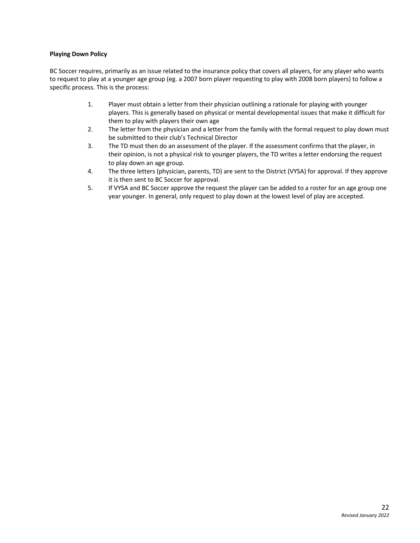## **Playing Down Policy**

BC Soccer requires, primarily as an issue related to the insurance policy that covers all players, for any player who wants to request to play at a younger age group (eg. a 2007 born player requesting to play with 2008 born players) to follow a specific process. This is the process:

- 1. Player must obtain a letter from their physician outlining a rationale for playing with younger players. This is generally based on physical or mental developmental issues that make it difficult for them to play with players their own age
- 2. The letter from the physician and a letter from the family with the formal request to play down must be submitted to their club's Technical Director
- 3. The TD must then do an assessment of the player. If the assessment confirms that the player, in their opinion, is not a physical risk to younger players, the TD writes a letter endorsing the request to play down an age group.
- 4. The three letters (physician, parents, TD) are sent to the District (VYSA) for approval. If they approve it is then sent to BC Soccer for approval.
- 5. If VYSA and BC Soccer approve the request the player can be added to a roster for an age group one year younger. In general, only request to play down at the lowest level of play are accepted.